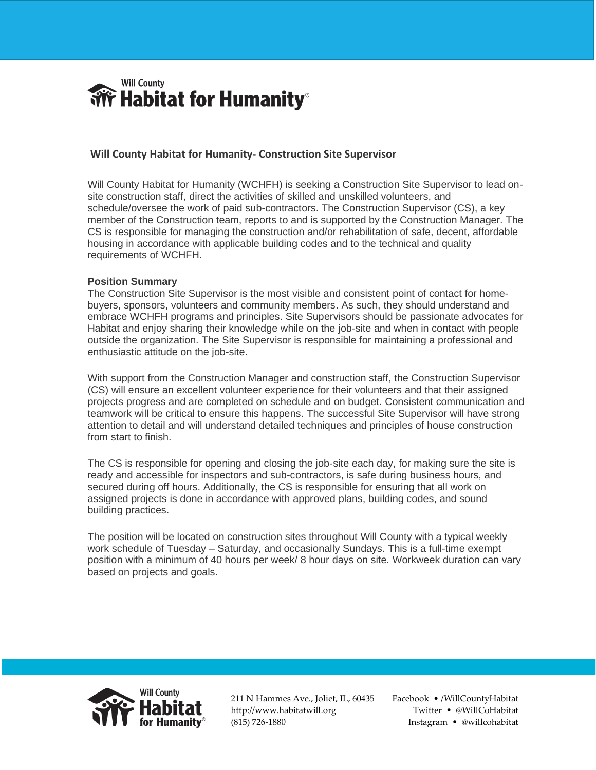

## **Will County Habitat for Humanity- Construction Site Supervisor**

Will County Habitat for Humanity (WCHFH) is seeking a Construction Site Supervisor to lead onsite construction staff, direct the activities of skilled and unskilled volunteers, and schedule/oversee the work of paid sub-contractors. The Construction Supervisor (CS), a key member of the Construction team, reports to and is supported by the Construction Manager. The CS is responsible for managing the construction and/or rehabilitation of safe, decent, affordable housing in accordance with applicable building codes and to the technical and quality requirements of WCHFH.

## **Position Summary**

The Construction Site Supervisor is the most visible and consistent point of contact for homebuyers, sponsors, volunteers and community members. As such, they should understand and embrace WCHFH programs and principles. Site Supervisors should be passionate advocates for Habitat and enjoy sharing their knowledge while on the job-site and when in contact with people outside the organization. The Site Supervisor is responsible for maintaining a professional and enthusiastic attitude on the job-site.

With support from the Construction Manager and construction staff, the Construction Supervisor (CS) will ensure an excellent volunteer experience for their volunteers and that their assigned projects progress and are completed on schedule and on budget. Consistent communication and teamwork will be critical to ensure this happens. The successful Site Supervisor will have strong attention to detail and will understand detailed techniques and principles of house construction from start to finish.

The CS is responsible for opening and closing the job-site each day, for making sure the site is ready and accessible for inspectors and sub-contractors, is safe during business hours, and secured during off hours. Additionally, the CS is responsible for ensuring that all work on assigned projects is done in accordance with approved plans, building codes, and sound building practices.

The position will be located on construction sites throughout Will County with a typical weekly work schedule of Tuesday – Saturday, and occasionally Sundays. This is a full-time exempt position with a minimum of 40 hours per week/ 8 hour days on site. Workweek duration can vary based on projects and goals.



211 N Hammes Ave., Joliet, IL, 60435 http://www.habitatwill.org (815) 726-1880

… Facebook • /WillCountyHabitat Twitter • @WillCoHabitat Instagram • @willcohabitat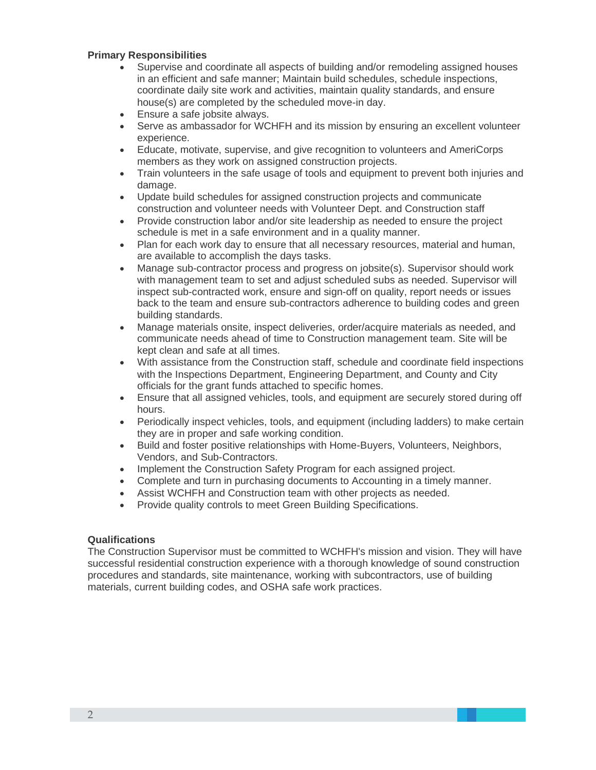## **Primary Responsibilities**

- Supervise and coordinate all aspects of building and/or remodeling assigned houses in an efficient and safe manner; Maintain build schedules, schedule inspections, coordinate daily site work and activities, maintain quality standards, and ensure house(s) are completed by the scheduled move-in day.
- Ensure a safe jobsite always.
- Serve as ambassador for WCHFH and its mission by ensuring an excellent volunteer experience.
- Educate, motivate, supervise, and give recognition to volunteers and AmeriCorps members as they work on assigned construction projects.
- Train volunteers in the safe usage of tools and equipment to prevent both injuries and damage.
- Update build schedules for assigned construction projects and communicate construction and volunteer needs with Volunteer Dept. and Construction staff
- Provide construction labor and/or site leadership as needed to ensure the project schedule is met in a safe environment and in a quality manner.
- Plan for each work day to ensure that all necessary resources, material and human, are available to accomplish the days tasks.
- Manage sub-contractor process and progress on jobsite(s). Supervisor should work with management team to set and adjust scheduled subs as needed. Supervisor will inspect sub-contracted work, ensure and sign-off on quality, report needs or issues back to the team and ensure sub-contractors adherence to building codes and green building standards.
- Manage materials onsite, inspect deliveries, order/acquire materials as needed, and communicate needs ahead of time to Construction management team. Site will be kept clean and safe at all times.
- With assistance from the Construction staff, schedule and coordinate field inspections with the Inspections Department, Engineering Department, and County and City officials for the grant funds attached to specific homes.
- Ensure that all assigned vehicles, tools, and equipment are securely stored during off hours.
- Periodically inspect vehicles, tools, and equipment (including ladders) to make certain they are in proper and safe working condition.
- Build and foster positive relationships with Home-Buyers, Volunteers, Neighbors, Vendors, and Sub-Contractors.
- Implement the Construction Safety Program for each assigned project.
- Complete and turn in purchasing documents to Accounting in a timely manner.
- Assist WCHFH and Construction team with other projects as needed.
- Provide quality controls to meet Green Building Specifications.

## **Qualifications**

The Construction Supervisor must be committed to WCHFH's mission and vision. They will have successful residential construction experience with a thorough knowledge of sound construction procedures and standards, site maintenance, working with subcontractors, use of building materials, current building codes, and OSHA safe work practices.